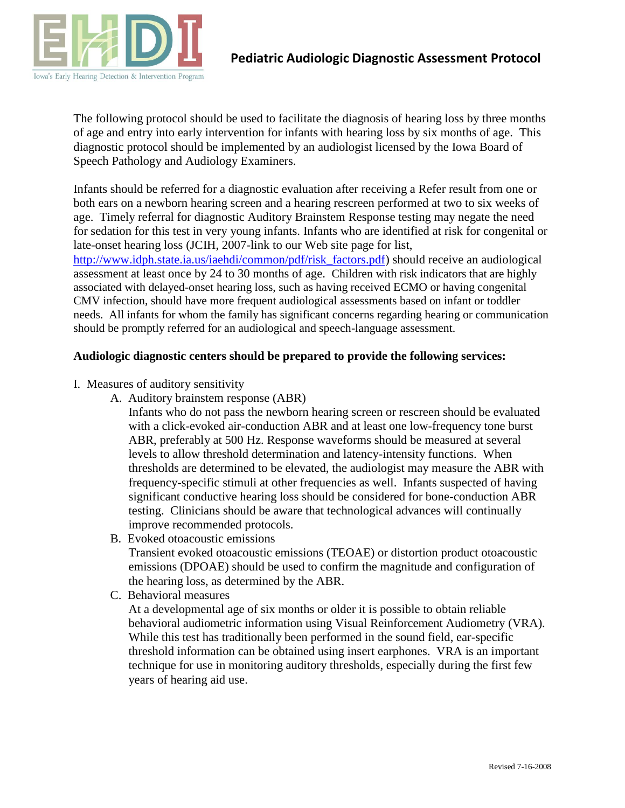

The following protocol should be used to facilitate the diagnosis of hearing loss by three months of age and entry into early intervention for infants with hearing loss by six months of age. This diagnostic protocol should be implemented by an audiologist licensed by the Iowa Board of Speech Pathology and Audiology Examiners.

Infants should be referred for a diagnostic evaluation after receiving a Refer result from one or both ears on a newborn hearing screen and a hearing rescreen performed at two to six weeks of age. Timely referral for diagnostic Auditory Brainstem Response testing may negate the need for sedation for this test in very young infants. Infants who are identified at risk for congenital or late-onset hearing loss (JCIH, 2007-link to our Web site page for list, [http://www.idph.state.ia.us/iaehdi/common/pdf/risk\\_factors.pdf\)](http://www.idph.state.ia.us/iaehdi/common/pdf/risk_factors.pdf) should receive an audiological assessment at least once by 24 to 30 months of age. Children with risk indicators that are highly associated with delayed-onset hearing loss, such as having received ECMO or having congenital CMV infection, should have more frequent audiological assessments based on infant or toddler needs. All infants for whom the family has significant concerns regarding hearing or communication should be promptly referred for an audiological and speech-language assessment.

## **Audiologic diagnostic centers should be prepared to provide the following services:**

- I. Measures of auditory sensitivity
	- A. Auditory brainstem response (ABR)

Infants who do not pass the newborn hearing screen or rescreen should be evaluated with a click-evoked air-conduction ABR and at least one low-frequency tone burst ABR, preferably at 500 Hz. Response waveforms should be measured at several levels to allow threshold determination and latency-intensity functions. When thresholds are determined to be elevated, the audiologist may measure the ABR with frequency-specific stimuli at other frequencies as well. Infants suspected of having significant conductive hearing loss should be considered for bone-conduction ABR testing. Clinicians should be aware that technological advances will continually improve recommended protocols.

B. Evoked otoacoustic emissions

Transient evoked otoacoustic emissions (TEOAE) or distortion product otoacoustic emissions (DPOAE) should be used to confirm the magnitude and configuration of the hearing loss, as determined by the ABR.

C. Behavioral measures

At a developmental age of six months or older it is possible to obtain reliable behavioral audiometric information using Visual Reinforcement Audiometry (VRA). While this test has traditionally been performed in the sound field, ear-specific threshold information can be obtained using insert earphones. VRA is an important technique for use in monitoring auditory thresholds, especially during the first few years of hearing aid use.